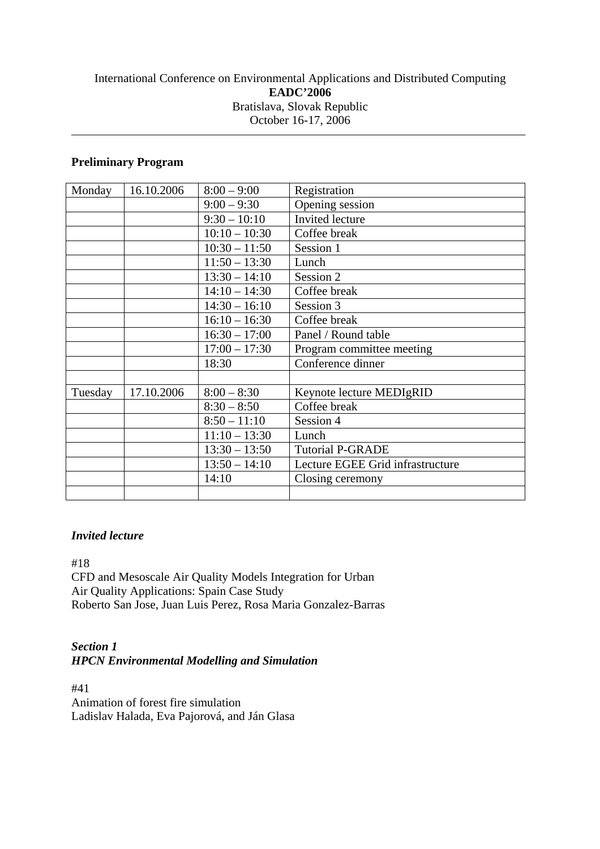## International Conference on Environmental Applications and Distributed Computing **EADC'2006**  Bratislava, Slovak Republic October 16-17, 2006

## **Preliminary Program**

| Monday  | 16.10.2006 | $8:00 - 9:00$   | Registration                     |
|---------|------------|-----------------|----------------------------------|
|         |            | $9:00 - 9:30$   | Opening session                  |
|         |            | $9:30 - 10:10$  | Invited lecture                  |
|         |            | $10:10 - 10:30$ | Coffee break                     |
|         |            | $10:30 - 11:50$ | Session 1                        |
|         |            | $11:50 - 13:30$ | Lunch                            |
|         |            | $13:30 - 14:10$ | Session 2                        |
|         |            | $14:10 - 14:30$ | Coffee break                     |
|         |            | $14:30 - 16:10$ | Session 3                        |
|         |            | $16:10 - 16:30$ | Coffee break                     |
|         |            | $16:30 - 17:00$ | Panel / Round table              |
|         |            | $17:00 - 17:30$ | Program committee meeting        |
|         |            | 18:30           | Conference dinner                |
|         |            |                 |                                  |
| Tuesday | 17.10.2006 | $8:00 - 8:30$   | Keynote lecture MEDIgRID         |
|         |            | $8:30 - 8:50$   | Coffee break                     |
|         |            | $8:50 - 11:10$  | Session 4                        |
|         |            | $11:10 - 13:30$ | Lunch                            |
|         |            | $13:30 - 13:50$ | <b>Tutorial P-GRADE</b>          |
|         |            | $13:50 - 14:10$ | Lecture EGEE Grid infrastructure |
|         |            | 14:10           | Closing ceremony                 |
|         |            |                 |                                  |

#### *Invited lecture*

#18

CFD and Mesoscale Air Quality Models Integration for Urban Air Quality Applications: Spain Case Study Roberto San Jose, Juan Luis Perez, Rosa Maria Gonzalez-Barras

#### *Section 1 HPCN Environmental Modelling and Simulation*

#41 Animation of forest fire simulation Ladislav Halada, Eva Pajorová, and Ján Glasa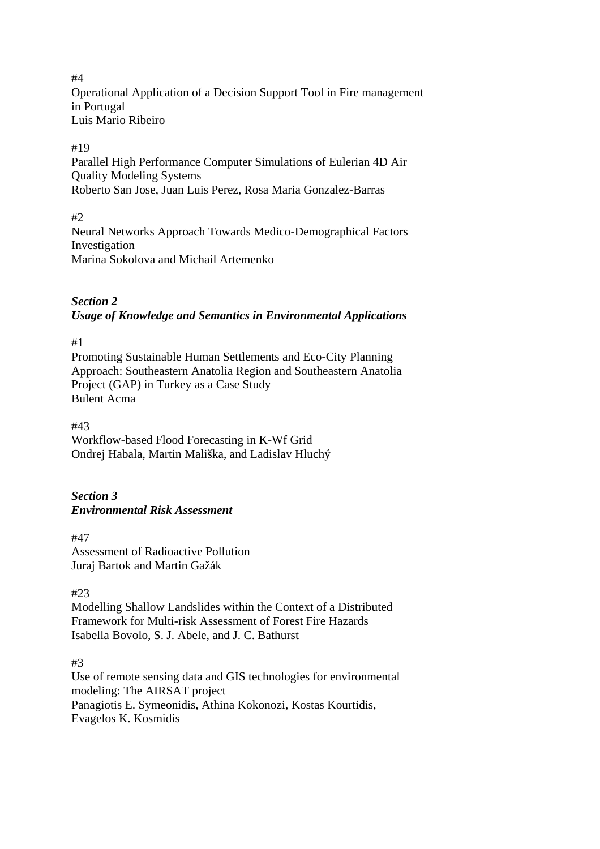#4 Operational Application of a Decision Support Tool in Fire management in Portugal Luis Mario Ribeiro

#### #19

Parallel High Performance Computer Simulations of Eulerian 4D Air Quality Modeling Systems Roberto San Jose, Juan Luis Perez, Rosa Maria Gonzalez-Barras

#### $#2$

Neural Networks Approach Towards Medico-Demographical Factors Investigation Marina Sokolova and Michail Artemenko

## *Section 2 Usage of Knowledge and Semantics in Environmental Applications*

#1

Promoting Sustainable Human Settlements and Eco-City Planning Approach: Southeastern Anatolia Region and Southeastern Anatolia Project (GAP) in Turkey as a Case Study Bulent Acma

#43

Workflow-based Flood Forecasting in K-Wf Grid Ondrej Habala, Martin Mališka, and Ladislav Hluchý

#### *Section 3 Environmental Risk Assessment*

#47 Assessment of Radioactive Pollution Juraj Bartok and Martin Gažák

#23

Modelling Shallow Landslides within the Context of a Distributed Framework for Multi-risk Assessment of Forest Fire Hazards Isabella Bovolo, S. J. Abele, and J. C. Bathurst

#3

Use of remote sensing data and GIS technologies for environmental modeling: The AIRSAT project Panagiotis E. Symeonidis, Athina Kokonozi, Kostas Kourtidis, Evagelos K. Kosmidis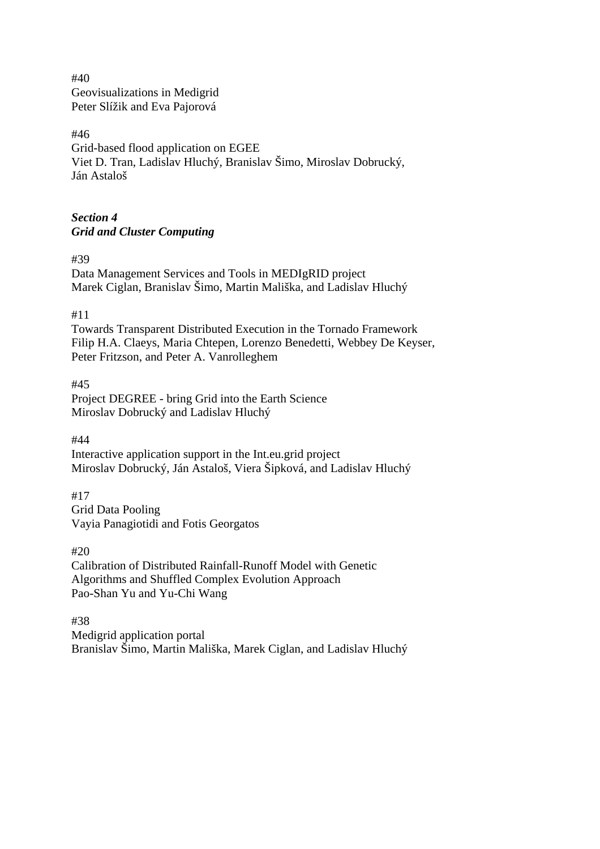#40 Geovisualizations in Medigrid Peter Slížik and Eva Pajorová

#46 Grid-based flood application on EGEE Viet D. Tran, Ladislav Hluchý, Branislav Šimo, Miroslav Dobrucký, Ján Astaloš

## *Section 4 Grid and Cluster Computing*

#39

Data Management Services and Tools in MEDIgRID project Marek Ciglan, Branislav Šimo, Martin Mališka, and Ladislav Hluchý

#11

Towards Transparent Distributed Execution in the Tornado Framework Filip H.A. Claeys, Maria Chtepen, Lorenzo Benedetti, Webbey De Keyser, Peter Fritzson, and Peter A. Vanrolleghem

#45 Project DEGREE - bring Grid into the Earth Science Miroslav Dobrucký and Ladislav Hluchý

#44

Interactive application support in the Int.eu.grid project Miroslav Dobrucký, Ján Astaloš, Viera Šipková, and Ladislav Hluchý

#17 Grid Data Pooling Vayia Panagiotidi and Fotis Georgatos

#20 Calibration of Distributed Rainfall-Runoff Model with Genetic Algorithms and Shuffled Complex Evolution Approach Pao-Shan Yu and Yu-Chi Wang

#38

Medigrid application portal Branislav Šimo, Martin Mališka, Marek Ciglan, and Ladislav Hluchý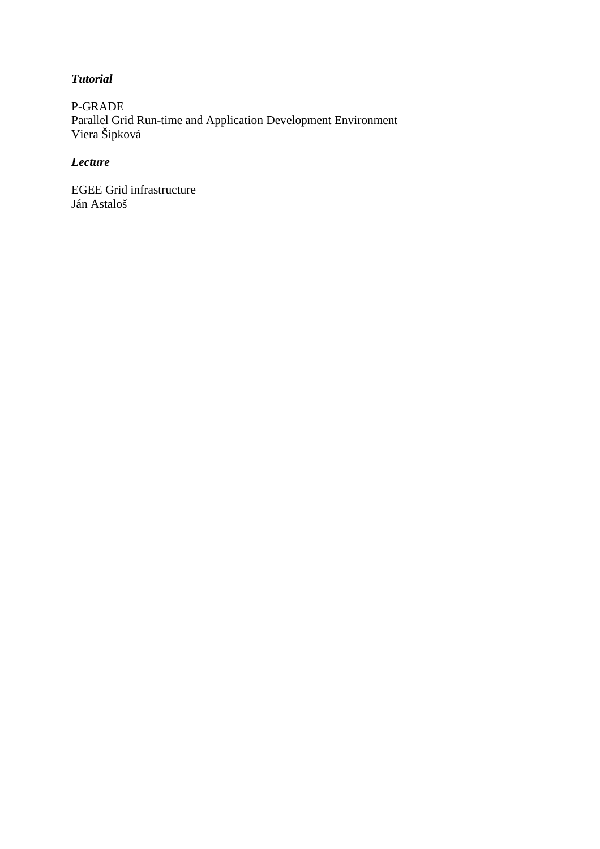## *Tutorial*

P-GRADE Parallel Grid Run-time and Application Development Environment Viera Šipková

# *Lecture*

EGEE Grid infrastructure Ján Astaloš